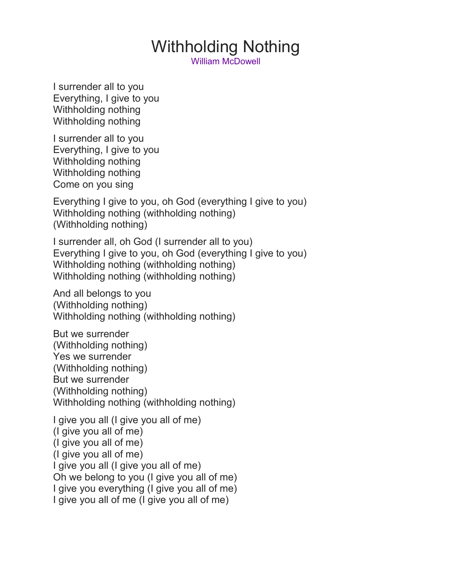## Withholding Nothing

[William McDowell](https://www.google.com/search?safe=active&rlz=1C1GCEU_enUS819US819&q=William+McDowell&stick=H4sIAAAAAAAAAONgVuLSz9U3yMuoLMpKAQA42vHdDgAAAA&sa=X&ved=2ahUKEwjtyKuQlpbfAhUq8IMKHbBYAyUQMTAAegQIBxAF)

I surrender all to you Everything, I give to you Withholding nothing Withholding nothing

I surrender all to you Everything, I give to you Withholding nothing Withholding nothing Come on you sing

Everything I give to you, oh God (everything I give to you) Withholding nothing (withholding nothing) (Withholding nothing)

I surrender all, oh God (I surrender all to you) Everything I give to you, oh God (everything I give to you) Withholding nothing (withholding nothing) Withholding nothing (withholding nothing)

And all belongs to you (Withholding nothing) Withholding nothing (withholding nothing)

But we surrender (Withholding nothing) Yes we surrender (Withholding nothing) But we surrender (Withholding nothing) Withholding nothing (withholding nothing)

I give you all (I give you all of me) (I give you all of me) (I give you all of me) (I give you all of me) I give you all (I give you all of me) Oh we belong to you (I give you all of me) I give you everything (I give you all of me) I give you all of me (I give you all of me)